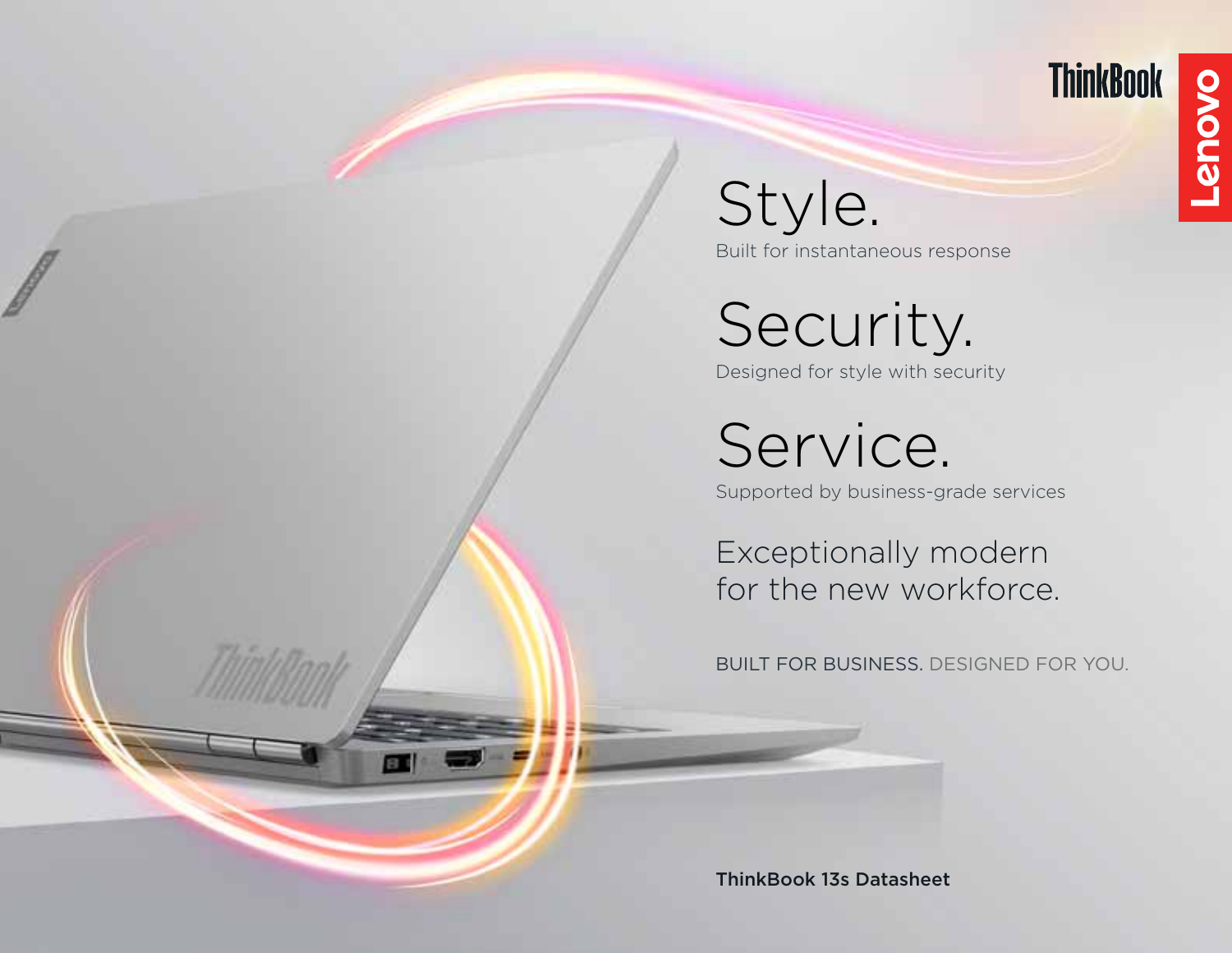

**Lenovo** 

Style. Built for instantaneous response

Security. Designed for style with security

Service.

Supported by business-grade services

Exceptionally modern for the new workforce.

BUILT FOR BUSINESS. DESIGNED FOR YOU.

ThinkBook 13s Datasheet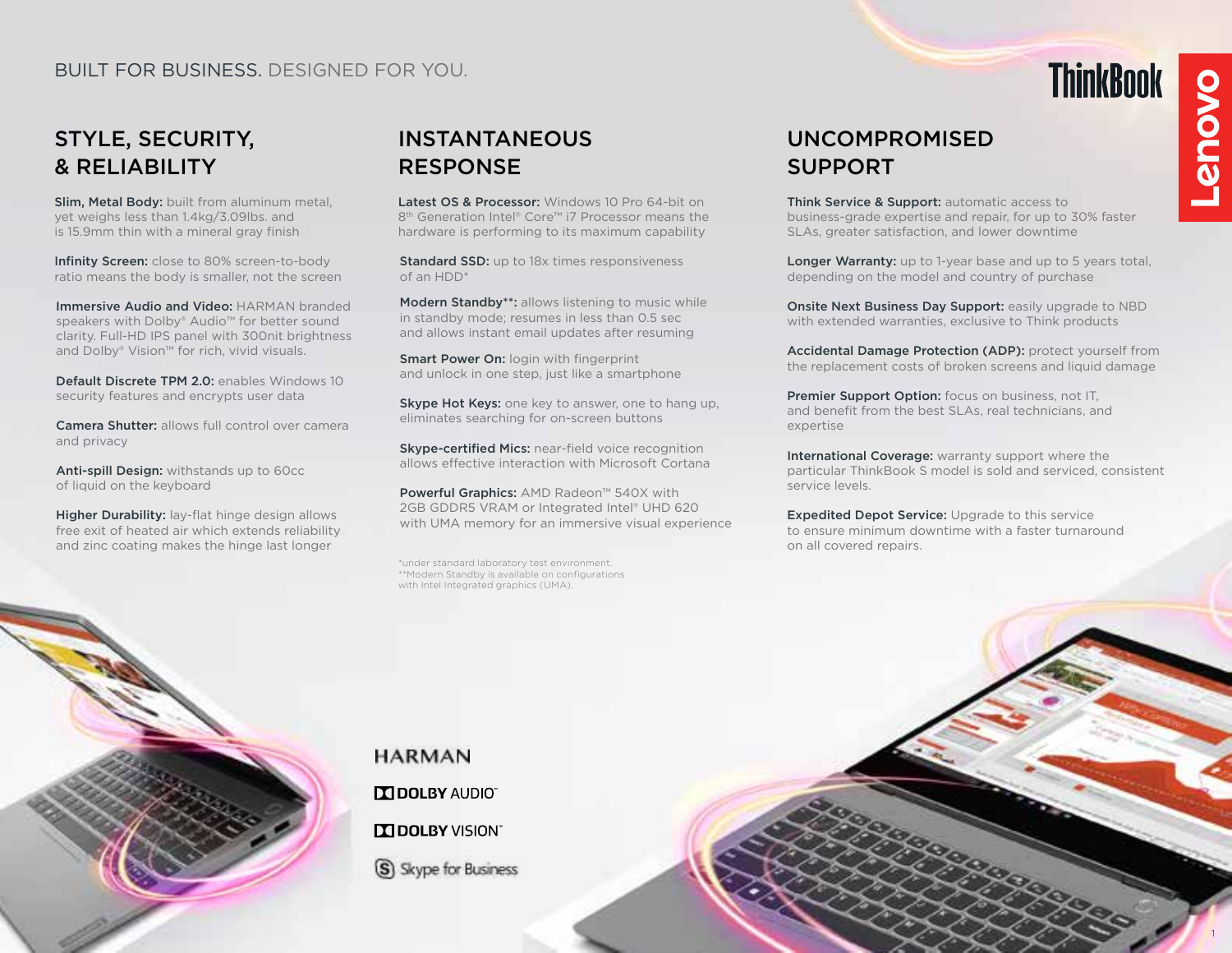# STYLE, SECURITY, & RELIABILITY

Slim, Metal Body: built from aluminum metal, yet weighs less than 1.4kg/3.09lbs. and is 15.9mm thin with a mineral gray finish

Infinity Screen: close to 80% screen-to-body ratio means the body is smaller, not the screen

Immersive Audio and Video: HARMAN branded speakers with Dolby® Audio™ for better sound clarity. Full-HD IPS panel with 300nit brightness and Dolby® Vision™ for rich, vivid visuals.

Default Discrete TPM 2.0: enables Windows 10 security features and encrypts user data

Camera Shutter: allows full control over camera and privacy

Anti-spill Design: withstands up to 60cc of liquid on the keyboard

Higher Durability: lay-flat hinge design allows free exit of heated air which extends reliability and zinc coating makes the hinge last longer

# INSTANTANEOUS RESPONSE

Latest OS & Processor: Windows 10 Pro 64-bit on 8th Generation Intel® Core™ i7 Processor means the hardware is performing to its maximum capability

**Standard SSD:** up to 18x times responsiveness of an HDD\*

Modern Standby\*\*: allows listening to music while in standby mode; resumes in less than 0.5 sec and allows instant email updates after resuming

Smart Power On: login with fingerprint and unlock in one step, just like a smartphone

Skype Hot Keys: one key to answer, one to hang up, eliminates searching for on-screen buttons

Skype-certified Mics: near-field voice recognition allows effective interaction with Microsoft Cortana

Powerful Graphics: AMD Radeon™ 540X with 2GB GDDR5 VRAM or Integrated Intel® UHD 620 with UMA memory for an immersive visual experience

\*under standard laboratory test environment. \*\*Modern Standby is available on configurations with Intel Integrated graphics (UMA).

# UNCOMPROMISED SUPPORT

Think Service & Support: automatic access to business-grade expertise and repair, for up to 30% faster SLAs, greater satisfaction, and lower downtime

Longer Warranty: up to 1-year base and up to 5 years total, depending on the model and country of purchase

Onsite Next Business Day Support: easily upgrade to NBD with extended warranties, exclusive to Think products

Accidental Damage Protection (ADP): protect yourself from the replacement costs of broken screens and liquid damage

Premier Support Option: focus on business, not IT, and benefit from the best SLAs, real technicians, and expertise

International Coverage: warranty support where the particular ThinkBook S model is sold and serviced, consistent service levels.

**Expedited Depot Service:** Upgrade to this service to ensure minimum downtime with a faster turnaround on all covered repairs.



**HARMAN IN DOLBY AUDIO" TTI DOLBY VISION"** S) Skype for Business

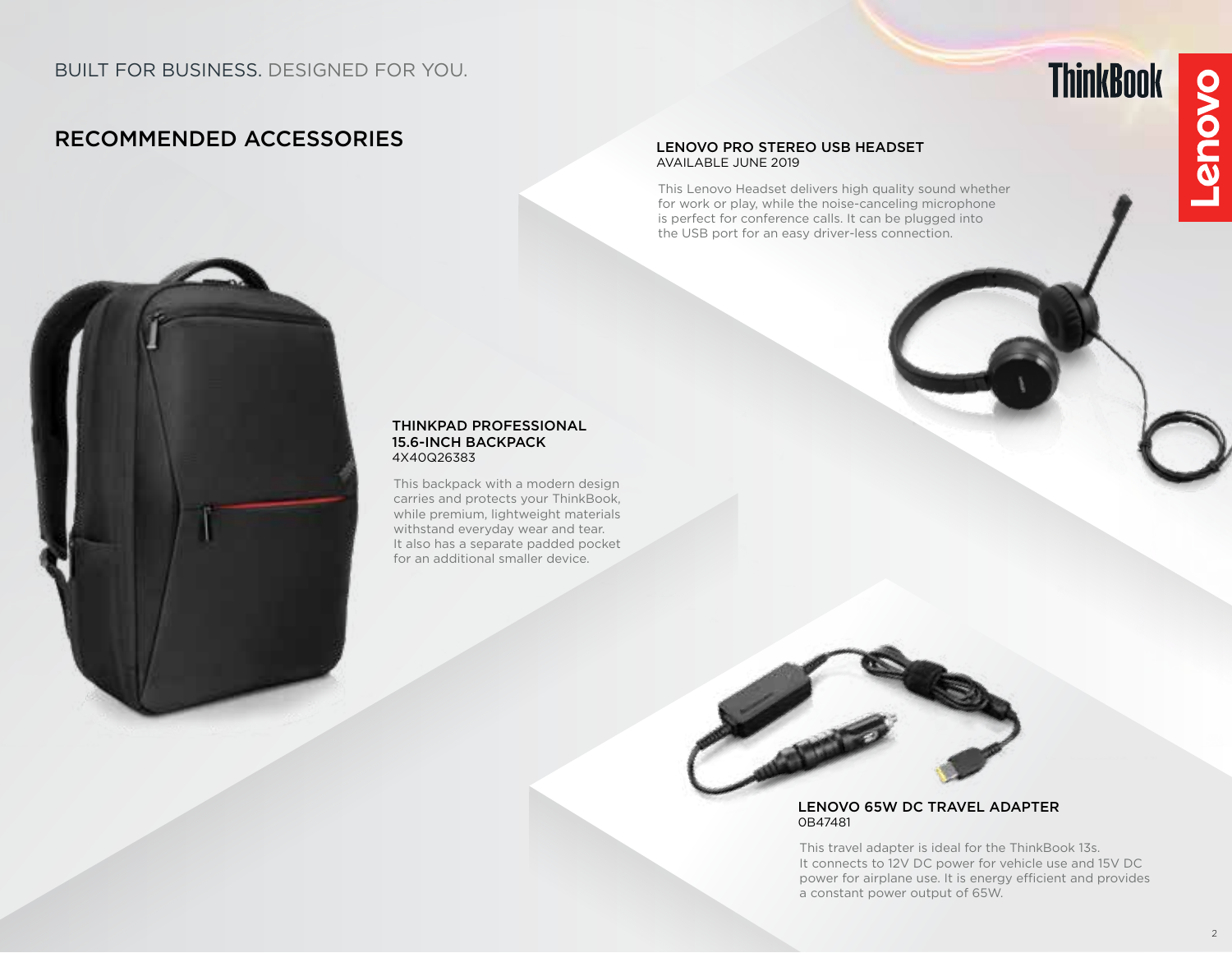# RECOMMENDED ACCESSORIES

#### LENOVO PRO STEREO USB HEADSET AVAILABLE JUNE 2019

This Lenovo Headset delivers high quality sound whether for work or play, while the noise-canceling microphone is perfect for conference calls. It can be plugged into the USB port for an easy driver-less connection.



#### THINKPAD PROFESSIONAL 15.6-INCH BACKPACK 4X40Q26383

This backpack with a modern design carries and protects your ThinkBook, while premium, lightweight materials withstand everyday wear and tear. It also has a separate padded pocket for an additional smaller device.



#### LENOVO 65W DC TRAVEL ADAPTER 0B47481

This travel adapter is ideal for the ThinkBook 13s. It connects to 12V DC power for vehicle use and 15V DC power for airplane use. It is energy efficient and provides a constant power output of 65W.

**ThinkBook**